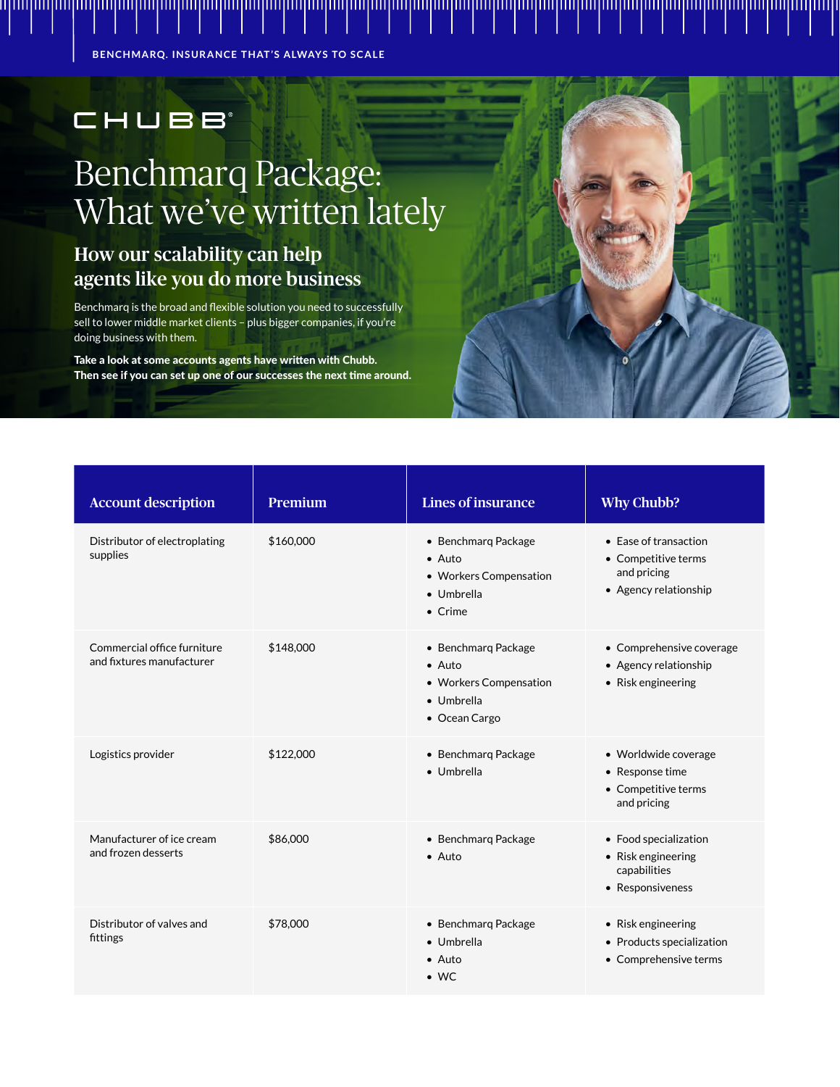**BENCHMARQ. INSURANCE THAT'S ALWAYS TO SCALE**

## CHUBB

## Benchmarq Package: What we've written lately

## How our scalability can help agents like you do more business

Benchmarq is the broad and flexible solution you need to successfully sell to lower middle market clients – plus bigger companies, if you're doing business with them.

Take a look at some accounts agents have written with Chubb. Then see if you can set up one of our successes the next time around.

| <b>Account description</b>                               | Premium   | <b>Lines of insurance</b>                                                                        | <b>Why Chubb?</b>                                                                    |
|----------------------------------------------------------|-----------|--------------------------------------------------------------------------------------------------|--------------------------------------------------------------------------------------|
| Distributor of electroplating<br>supplies                | \$160,000 | • Benchmarg Package<br>$\bullet$ Auto<br>• Workers Compensation<br>· Umbrella<br>$\bullet$ Crime | • Ease of transaction<br>• Competitive terms<br>and pricing<br>• Agency relationship |
| Commercial office furniture<br>and fixtures manufacturer | \$148,000 | • Benchmarq Package<br>$\bullet$ Auto<br>• Workers Compensation<br>• Umbrella<br>• Ocean Cargo   | • Comprehensive coverage<br>• Agency relationship<br>• Risk engineering              |
| Logistics provider                                       | \$122,000 | • Benchmarq Package<br>• Umbrella                                                                | · Worldwide coverage<br>• Response time<br>• Competitive terms<br>and pricing        |
| Manufacturer of ice cream<br>and frozen desserts         | \$86,000  | • Benchmarg Package<br>$\bullet$ Auto                                                            | • Food specialization<br>• Risk engineering<br>capabilities<br>• Responsiveness      |
| Distributor of valves and<br>fittings                    | \$78,000  | • Benchmarg Package<br>· Umbrella<br>$\bullet$ Auto<br>$\bullet$ WC                              | • Risk engineering<br>• Products specialization<br>• Comprehensive terms             |

ոկովուղիակավագիակավագիակավագիակավագիակավագիակավագիակավագիակավագիակավագիակավագիակավագիակա